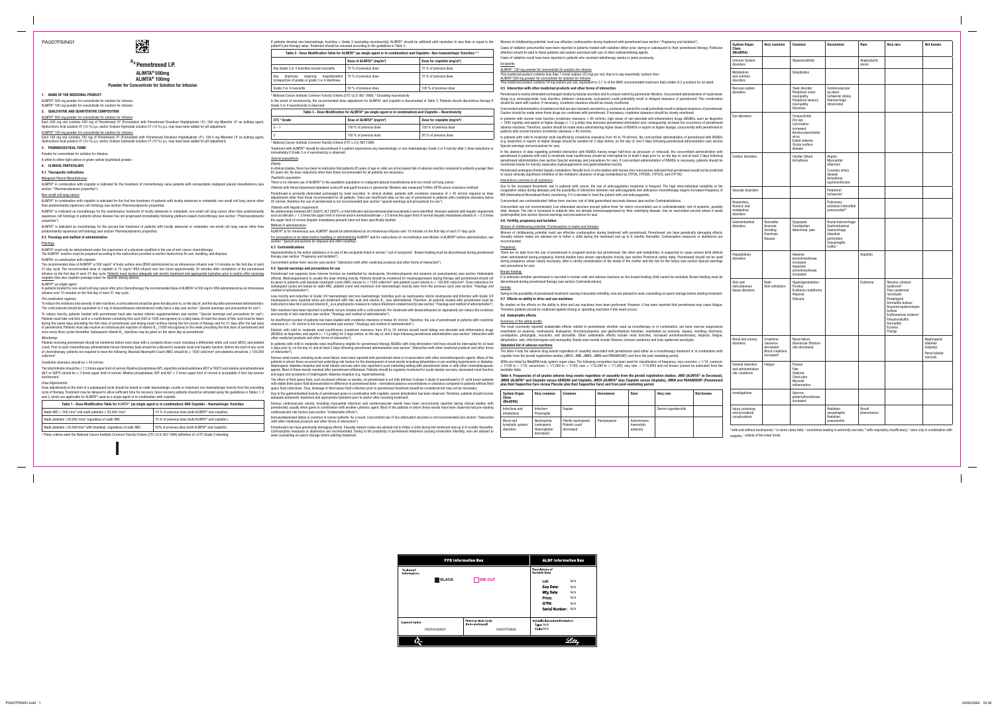**Rx Pemetrexed I.P. ALIMTA® 500mg**

**ALIMTA® 100mg Powder for Concentrate for Solution for Infusion**

### **1. NAME OF THE MEDICINAL PRODUCT**

ALIMTA® 500 mg powder for concentrate for solution for infusion Each 500 mg vial contains 500 mg of Pemetrexed I.P. (Formulated with Pemetrexed Disodium Heptahydrate I.P.), 500 mg Mannitol I.P. as bulking agent,<br>Hydrochloric Acid solution I.P. (10 %) q.s. and/or Sodium Hydroxide soluti

ALIMTA® 100 mg powder for concentrate for solution for infusion.<br>Each 100 mg vial contains 100 mg of Pemetrexed I.P. (Formulated with Pemetrexed Disodium Heptahydrate I.P.), 106.4 mg Mannitol I.P. as bulking agent,

ALIMTA® 500 mg powder for concentrate for solution for infusion.

ALIMTA® 100 mg powder for concentrate for solution for infusion.

# **2. QUALITATIVE AND QUANTITATIVE COMPOSITION**

# Hydrochloric Acid solution I.P. (10 %) q.s. and/or Sodium Hydroxide solution I.P. (10 %) q.s. may have been added for pH adjustment.

**3. PHARMACEUTICAL FORM**

Powder for concentrate for solution for infusion.

## A white to either light yellow or green-yellow lyophilised powder.

ALIMTA® is indicated as monotherapy for the second line treatment of patients with locally advanced or metastatic non-small cell lung cancer other than Method of administration: predominantly squamous cell histology (see section *Pharmacodynamic properties*).

**4. CLINICAL PARTICULARS**

### **4.1 Therapeutic indications**

Malignant Pleural Mesothelioma:

The ALIMTA® solution must be prepared according to the instructions provided in section Instructions for use, handling, and disposal. ALIMTA® *in combination with cisplatin:*

The recommended dose of ALIMTA® is 500 mg/m² of body surface area (BSA) administered as an intravenous infusion over 10 minutes on the first day of each 21-day cycle. The recommended dose of cisplatin is 75 mg/m² BSA infused over two hours approximately 30 minutes after completion of the pemetrexed<br>infusion on the first day of each 21-day cycle. <u>Patients must receive adeq</u> cisplatin (See also cisplatin package insert for specific dosing advice).

ALIMTA® in combination with cisplatin is indicated for the treatment of chemotherapy naïve patients with unresectable malignant pleural mesothelioma (see section "*Pharmacodynamic properties*").

## Non-small cell lung cancer:

ALIMTA® in combination with cisplatin is indicated for the first line treatment of patients with locally advanced or metastatic non-small cell lung cancer other

In patients treated for non-small cell lung cancer after prior chemotherapy, the recommended dose of ALIMTA® is 500 mg/m² BSA administered as an intravenous infusion over 10 minutes on the first day of each 21-day cycle.

than predominantly squamous cell histology (see section *Pharmacodynamic properties*). ALIMTA® is indicated as monotherapy for the maintenance treatment of locally advanced or metastatic non-small cell lung cancer other than predominantly squamous cell histology in patients whose disease has not progressed immediately following platinum-based chemotherapy (see section "*Pharmacodynamic properties*").

Patients must take oral folic acid or a multivitamin containing folic acid (350 to 1000 micrograms) on a daily basis. At least five doses of folic acid must be taken during the seven days preceding the first dose of pemetrexed, and dosing must continue during the full course of therapy and for 21 days after the last dose of pemetrexed. Patients must also receive an intramuscular injection of vitamin B<sub>12</sub> (1000 micrograms) in the week preceding the first dose of pemetrexed and of permetrexed and once every three cycles thereafter. Subsequent vitamin  $B_{12}$  injections may be given on the same day as pemetrexed.

#### **4.2 Posology and method of administration**

#### Posology:

ALIMTA® must only be administered under the supervision of a physician qualified in the use of anti-cancer chemotherapy.

Dose adjustments at the start of a subsequent cycle should be based on nadir haematologic counts or maximum non-haematologic toxicity from the preceding cycle of therapy. Treatment may be delayed to allow sufficient time for recovery. Upon recovery patients should be retreated using the guidelines in Tables 1, 2 and 3, which are applicable for ALIMTA<sup>®</sup> used as a single agent or in combination with cisplatin.

## ALIMTA® *as single agent:*

If patients develop non-haematologic toxicities ≥ Grade 3 (excluding neurotoxicity), ALIMTA® should be withheld until resolution to less than or equal to the patient's pre-therapy value. Treatment should be resumed according to the quidelines in Table 2.

#### *Pre-medication regimen:*

To reduce the incidence and severity of skin reactions, a corticosteroid should be given the day prior to, on the day of, and the day after pemetrexed administration. The corticosteroid should be equivalent to 4 mg of dexamethasone administered orally twice a day (see section "*Special warnings and precautions for use*"). To reduce toxicity, patients treated with pemetrexed must also receive vitamin supplementation (see section "*Special warnings and precautions for use*").

### *Monitoring:*

Patients receiving pemetrexed should be monitored before each dose with a complete blood count, including a differential white cell count (WCC) and platelet count. Prior to each chemotherapy administration blood chemistry tests should be collected to evaluate renal and hepatic function. Before the start of any cycle of chemotherapy, patients are required to have the following: Absolute Neutrophil Count (ANC) should be ≥ 1500 cells/mm $^{\circ}$  and platelets should be ≥ 100,000  $\text{cells/mm}^3$ .

#### Creatinine clearance should be ≥ 45 ml/min.

The total bilirubin should be ≤ 1.5 times upper limit of normal. Alkaline phosphatase (AP), aspartate aminotransferase (AST or SGOT) and alanine aminotransferase (ALT or SGPT) should be ≤ 3 times upper limit of normal. Alkaline phosphatase, AST and ALT ≤ 5 times upper limit of normal is acceptable if liver has tumour involvement.

## *Dose Adjustments:*

| Table 1 - Dose Modification Table for ALIMTA® (as single agent or in combination) AND Cisplatin - Haematologic Toxicities |                                                     |  |  |  |  |  |
|---------------------------------------------------------------------------------------------------------------------------|-----------------------------------------------------|--|--|--|--|--|
| Nadir ANC < 500 /mm <sup>3</sup> and nadir platelets $\geq$ 50,000 /mm <sup>3</sup>                                       | 75 % of previous dose (both ALIMTA® and cisplatin). |  |  |  |  |  |
| Nadir platelets <50,000 /mm <sup>3</sup> regardless of nadir ANC                                                          | 75 % of previous dose (both ALIMTA® and cisplatin). |  |  |  |  |  |
| Nadir platelets <50,000/mm <sup>3</sup> with bleeding <sup>a</sup> , regardless of nadir ANC.                             | 50% of previous dose (both ALIMTA® and cisplatin).  |  |  |  |  |  |

a These criteria meet the National Cancer Institute Common Toxicity Criteria (CTC v2.0; NCI 1998) definition of ≥CTC Grade 2 bleeding

| Table 2 - Dose Modification Table for ALIMTA® (as single agent or in combination) and Cisplatin– Non-haematologic Toxicities $a, b$ |                       |                                         |  |  |  |
|-------------------------------------------------------------------------------------------------------------------------------------|-----------------------|-----------------------------------------|--|--|--|
| Dose of ALIMTA <sup>®</sup> (mg/m <sup>2</sup> )                                                                                    |                       | Dose for cisplatin (mg/m <sup>2</sup> ) |  |  |  |
| Any Grade 3 or 4 toxicities except mucositis                                                                                        | 75 % of previous dose | 75 % of previous dose                   |  |  |  |
| hospitalisation<br>diarrhoea<br>reauirina<br>Anv<br>(irrespective of grade) or grade 3 or 4 diarrhoea.                              | 75 % of previous dose | 75 % of previous dose                   |  |  |  |
| Grade 3 or 4 mucositis                                                                                                              | 50 % of previous dose | 100 % of previous dose                  |  |  |  |
| <sup>a</sup> National Cancer Institute Common Toxicity Criteria (CTC v2.0; NCI 1998); <b>Excluding neurotoxicity</b>                |                       |                                         |  |  |  |

| $10000$ P000 mountainon for ALIMIA (to only a used in completent) and ologically requirements |                                                  |                                         |  |  |  |
|-----------------------------------------------------------------------------------------------|--------------------------------------------------|-----------------------------------------|--|--|--|
| CTC <sup>a</sup> Grade                                                                        | Dose of ALIMTA <sup>®</sup> (mg/m <sup>2</sup> ) | Dose for cisplatin (mg/m <sup>2</sup> ) |  |  |  |
| $0 - 1$                                                                                       | 100 % of previous dose                           | 100 % of previous dose                  |  |  |  |
|                                                                                               | 100 % of previous dose                           | 50 % of previous dose                   |  |  |  |

### immediately if Grade 3 or 4 neurotoxicity is observed.

*Special populations*

# ALIMTA® is for intravenous use. ALIMTA® should be administered as an intravenous infusion over 10 minutes on the first day of each 21-day cycle.

# **4.4 Special warnings and precautions for use**

ymphatic syst disorders

Injury, poisoning **id** procedura mplications

adequate antiemetic treatment and appropriate hydration prior to and/or after receiving treatment. Serious cardiovascular events, including myocardial infarction and cerebrovascular events have been uncommonly reported during clinical studies with exed, usually when given in combination with another cytotoxic agent. Most of the patients in whom these events have been observed had pre-existing cardiovascular risk factors (see section "*Undesirable effects*").

Immunodepressed status is common in cancer patients. As a result, concomitant use of live attenuated vaccines is not recommended (see section "*Interaction with other medicinal products and other forms of interaction*").

Pemetrexed can have genetically damaging effects. Sexually mature males are advised not to father a child during the treatment and up to 6 months thereafter. Contraceptive measures or abstinence are recommended. Owing to the possibility of pemetrexed treatment causing irreversible infertility, men are advised to seek counselling on sperm storage before starting treatment.

## to cause clinically significant Interactions common to all cy Due to the increased throm

# Women of childbearing potential

| patient's pre-therapy value. Treatment should be resumed according to the quidelines in Table 2.                                                                                                |                                                                                                           | If patients develop non-haematologic toxicities ≥ Grade 3 (excluding neurotoxicity), ALIMTA® should be withheld until resolution to less than or equal to the                                                                                                                                                                                                                                                                                                                                    |                                                                                                                                                                                                                                                                                                                                                          |                                            |                                                                                                                                                                                      |                 |      | Women of childbearing potential must use effective contraception during treatment with pemetrexed (see section " <i>Pregnancy and lactation</i> ").                                                                                                                                                                                                                                                                                                                                                                                                                                                                                                                 |                                                                                                                                                             | <b>System Organ</b>                      | Very common                                       | Common                                                             | <b>Uncommon</b>                                             | Rare                  | <b>Very rare</b>                                     | <b>Not known</b>                       |
|-------------------------------------------------------------------------------------------------------------------------------------------------------------------------------------------------|-----------------------------------------------------------------------------------------------------------|--------------------------------------------------------------------------------------------------------------------------------------------------------------------------------------------------------------------------------------------------------------------------------------------------------------------------------------------------------------------------------------------------------------------------------------------------------------------------------------------------|----------------------------------------------------------------------------------------------------------------------------------------------------------------------------------------------------------------------------------------------------------------------------------------------------------------------------------------------------------|--------------------------------------------|--------------------------------------------------------------------------------------------------------------------------------------------------------------------------------------|-----------------|------|---------------------------------------------------------------------------------------------------------------------------------------------------------------------------------------------------------------------------------------------------------------------------------------------------------------------------------------------------------------------------------------------------------------------------------------------------------------------------------------------------------------------------------------------------------------------------------------------------------------------------------------------------------------------|-------------------------------------------------------------------------------------------------------------------------------------------------------------|------------------------------------------|---------------------------------------------------|--------------------------------------------------------------------|-------------------------------------------------------------|-----------------------|------------------------------------------------------|----------------------------------------|
|                                                                                                                                                                                                 |                                                                                                           | Table 2 - Dose Modification Table for ALIMTA® (as single agent or in combination) and Cisplatin- Non-haematologic Toxicities a,b                                                                                                                                                                                                                                                                                                                                                                 |                                                                                                                                                                                                                                                                                                                                                          |                                            | attention should be paid to these patients and caution exercised with use of other radiosensitising agents.                                                                          |                 |      | Cases of radiation pneumonitis have been reported in patients treated with radiation either prior, during or subsequent to their pemetrexed therapy. Particular                                                                                                                                                                                                                                                                                                                                                                                                                                                                                                     |                                                                                                                                                             | Class<br>(MedDRA)                        |                                                   |                                                                    |                                                             |                       |                                                      |                                        |
|                                                                                                                                                                                                 | Dose of ALIMTA® (mg/m <sup>2)</sup>                                                                       | Dose for cisplatin (mg/m <sup>2</sup> )                                                                                                                                                                                                                                                                                                                                                                                                                                                          | <b>Excipients</b>                                                                                                                                                                                                                                                                                                                                        |                                            | Cases of radiation recall have been reported in patients who received radiotherapy weeks or years previously.                                                                        |                 |      |                                                                                                                                                                                                                                                                                                                                                                                                                                                                                                                                                                                                                                                                     |                                                                                                                                                             | Immune System<br>disorders               |                                                   | Hypersensitivity                                                   |                                                             | Anaphylactic<br>shock |                                                      |                                        |
| Any Grade 3 or 4 toxicities except mucositis                                                                                                                                                    | 75 % of previous dose                                                                                     | 75 % of previous dose                                                                                                                                                                                                                                                                                                                                                                                                                                                                            |                                                                                                                                                                                                                                                                                                                                                          |                                            | ALIMTA <sup>®</sup> 100 mg powder for concentrate for solution for infusion                                                                                                          |                 |      |                                                                                                                                                                                                                                                                                                                                                                                                                                                                                                                                                                                                                                                                     |                                                                                                                                                             | Metabolism                               |                                                   | Dehydration                                                        |                                                             |                       |                                                      |                                        |
| Any diarrhoea requiring hospitalisation<br>(irrespective of grade) or grade 3 or 4 diarrhoea.                                                                                                   | 75 % of previous dose                                                                                     | 75 % of previous dose                                                                                                                                                                                                                                                                                                                                                                                                                                                                            |                                                                                                                                                                                                                                                                                                                                                          |                                            | This medicinal product contains less than 1 mmol sodium (23 mɑ) per vial. that is to sav essentially 'sodium-free'<br>ALIMTA®500 mg powder for concentrate for solution for infusion |                 |      | This medicinal product contains 54 mg sodium per vial, equivalent to 2,7 % of the WHO recommended maximum daily intake of 2 g sodium for an adult.                                                                                                                                                                                                                                                                                                                                                                                                                                                                                                                  |                                                                                                                                                             | and nutrition<br>disorders               |                                                   |                                                                    |                                                             |                       |                                                      |                                        |
| Grade 3 or 4 mucositis                                                                                                                                                                          | 50 % of previous dose                                                                                     | 100 % of previous dose                                                                                                                                                                                                                                                                                                                                                                                                                                                                           |                                                                                                                                                                                                                                                                                                                                                          |                                            | 4.5 Interaction with other medicinal products and other forms of interaction                                                                                                         |                 |      |                                                                                                                                                                                                                                                                                                                                                                                                                                                                                                                                                                                                                                                                     |                                                                                                                                                             | Nervous system                           |                                                   | Taste disorder                                                     | Cerebrovascular                                             |                       |                                                      |                                        |
| a National Cancer Institute Common Toxicity Criteria (CTC v2.0; NCl 1998); b Excluding neurotoxicity<br>Grade 3 or 4 neurotoxicity is observed.                                                 |                                                                                                           | In the event of neurotoxicity, the recommended dose adjustment for ALIMTA® and cisplatin is documented in Table 3. Patients should discontinue therapy i                                                                                                                                                                                                                                                                                                                                         |                                                                                                                                                                                                                                                                                                                                                          |                                            | should be used with caution. If necessary, creatinine clearance should be closely monitored.                                                                                         |                 |      | Pemetrexed is mainly eliminated unchanged renally by tubular secretion and to a lesser extent by glomerular filtration. Concomitant administration of nephrotoxic<br>drugs (e.g. aminoglycoside, loop diuretics, platinum compounds, cyclosporin) could potentially result in delayed clearance of pemetrexed. This combination                                                                                                                                                                                                                                                                                                                                     |                                                                                                                                                             | disorders                                |                                                   | Peripheral motor<br>neuropathy<br>Peripheral sensory<br>neuropathy | accident<br>Ischaemic stroke<br>Haemorrhage<br>intracranial |                       |                                                      |                                        |
|                                                                                                                                                                                                 | Table 3 - Dose Modification for ALIMTA® (as single agent or in combination) and Cisplatin – Neurotoxicity |                                                                                                                                                                                                                                                                                                                                                                                                                                                                                                  |                                                                                                                                                                                                                                                                                                                                                          |                                            |                                                                                                                                                                                      |                 |      | Concomitant administration of substances that are also tubularly secreted (e.g. probenecid, penicillin) could potentially result in delayed clearance of pemetrexed.<br>Caution should be made when these drugs are combined with pemetrexed. If necessary, creatinine clearance should be closely monitored.                                                                                                                                                                                                                                                                                                                                                       |                                                                                                                                                             |                                          |                                                   | Dizziness                                                          |                                                             |                       |                                                      |                                        |
| CTC <sup>a</sup> Grade                                                                                                                                                                          | Dose of ALIMTA® (mg/m <sup>2</sup> )                                                                      | Dose for cisplatin (mg/m <sup>2</sup> )                                                                                                                                                                                                                                                                                                                                                                                                                                                          |                                                                                                                                                                                                                                                                                                                                                          |                                            |                                                                                                                                                                                      |                 |      | In patients with normal renal function (creatinine clearance $\geq 80$ ml/min), high doses of non-steroidal anti-inflammatory drugs (NSAIDs, such as ibuprofen<br>$>$ 1600 mg/day) and aspirin at higher dosage ( $\geq$ 1.3 g daily) may decrease pemetrexed elimination and, consequently, increase the occurrence of pemetrexed                                                                                                                                                                                                                                                                                                                                  |                                                                                                                                                             | Eye disorders                            |                                                   | Conjunctivitis<br>Dry eye                                          |                                                             |                       |                                                      |                                        |
| $0 - 1$                                                                                                                                                                                         | 100 % of previous dose                                                                                    | 100 % of previous dose                                                                                                                                                                                                                                                                                                                                                                                                                                                                           |                                                                                                                                                                                                                                                                                                                                                          |                                            |                                                                                                                                                                                      |                 |      |                                                                                                                                                                                                                                                                                                                                                                                                                                                                                                                                                                                                                                                                     | adverse reactions. Therefore, caution should be made when administering higher doses of NSAIDs or aspirin at higher dosage, concurrently with pemetrexed to |                                          |                                                   | Lacrimation<br>increased                                           |                                                             |                       |                                                      |                                        |
|                                                                                                                                                                                                 | 100 % of previous dose                                                                                    | 50 % of previous dose                                                                                                                                                                                                                                                                                                                                                                                                                                                                            |                                                                                                                                                                                                                                                                                                                                                          |                                            | patients with normal function (creatinine clearance $\geq 80$ ml/min).                                                                                                               |                 |      | In patients with mild to moderate renal insufficiency (creatinine clearance from 45 to 79 ml/min), the concomitant administration of pemetrexed with NSAIDs                                                                                                                                                                                                                                                                                                                                                                                                                                                                                                         |                                                                                                                                                             |                                          |                                                   | Keratoconjunctivitis<br>sicca                                      |                                                             |                       |                                                      |                                        |
| <sup>a</sup> National Cancer Institute Common Toxicity Criteria (CTC v 2.0; NCI 1998)                                                                                                           |                                                                                                           |                                                                                                                                                                                                                                                                                                                                                                                                                                                                                                  |                                                                                                                                                                                                                                                                                                                                                          |                                            |                                                                                                                                                                                      |                 |      | (e.g. ibuprofen) or aspirin at higher dosage should be avoided for 2 days before, on the day of, and 2 days following pemetrexed administration (see section                                                                                                                                                                                                                                                                                                                                                                                                                                                                                                        |                                                                                                                                                             |                                          |                                                   | Eyelid oedema<br>Ocular surface                                    |                                                             |                       |                                                      |                                        |
| immediately if Grade 3 or 4 neurotoxicity is observed.<br><b>Special populations</b><br>Elderlv<br>65 years old. No dose reductions other than those recommended for all patients are necessary |                                                                                                           | Treatment with ALIMTA® should be discontinued if a patient experiences any haematologic or non-haematologic Grade 3 or 4 toxicity after 2 dose reductions or<br>In clinical studies, there has been no indication that patients 65 years of age or older are at increased risk of adverse reaction compared to patients younger than                                                                                                                                                             |                                                                                                                                                                                                                                                                                                                                                          | Special warnings and precautions for use). | monitored closely for toxicity, especially myelosuppression and gastrointestinal toxicity.                                                                                           |                 |      | In the absence of data regarding potential interaction with NSAIDs having longer half-lives as piroxicam or rofecoxib, the concomitant administration with<br>pemetrexed in patients with mild to moderate renal insufficiency should be interrupted for at least 5 days prior to, on the day of, and at least 2 days following<br>pemetrexed administration (see section Special warnings and precautions for use). If concomitant administration of NSAIDs is necessary, patients should be<br>Pemetrexed undergoes limited hepatic metabolism. Results from <i>in vitro</i> studies with human liver microsomes indicated that pemetrexed would not be predicted |                                                                                                                                                             | Cardiac disorders                        |                                                   | disease<br>Cardiac failure<br>Arrhythmia                           | Angina<br>Myocardial<br>infarction<br>Coronary artery       |                       |                                                      |                                        |
| Paediatric population                                                                                                                                                                           |                                                                                                           |                                                                                                                                                                                                                                                                                                                                                                                                                                                                                                  |                                                                                                                                                                                                                                                                                                                                                          |                                            | to cause clinically significant inhibition of the metabolic clearance of drugs metabolised by CYP3A, CYP2D6, CYP2C9, and CYP1A2.                                                     |                 |      |                                                                                                                                                                                                                                                                                                                                                                                                                                                                                                                                                                                                                                                                     |                                                                                                                                                             |                                          |                                                   |                                                                    | disease<br>Arrhythmia                                       |                       |                                                      |                                        |
| There is no relevant use of ALIMTA® in the paediatric population in malignant pleural mesothelioma and non-small cell lung cancer.                                                              |                                                                                                           |                                                                                                                                                                                                                                                                                                                                                                                                                                                                                                  | Interactions common to all cytotoxics                                                                                                                                                                                                                                                                                                                    |                                            |                                                                                                                                                                                      |                 |      | Due to the increased thrombotic risk in patients with cancer, the use of anticoagulation treatment is frequent. The high intra-individual variability of the                                                                                                                                                                                                                                                                                                                                                                                                                                                                                                        |                                                                                                                                                             |                                          |                                                   |                                                                    | supraventricula                                             |                       |                                                      |                                        |
|                                                                                                                                                                                                 |                                                                                                           | Patients with Renal Impairment (standard cockcroft and gault formula or glomerular filtration rate measured Tc99m-DPTA serum clearance method):<br>Pemetrexed is primarily eliminated unchanged by renal excretion. In clinical studies, patients with creatinine clearance of ≥ 45 ml/min required no dose                                                                                                                                                                                      |                                                                                                                                                                                                                                                                                                                                                          |                                            | INR (International Normalised Ratio) monitoring, if it is decided to treat the patient with oral anticoagulants.                                                                     |                 |      | coagulation status during diseases and the possibility of interaction between oral anticoagulants and anticancer chemotherapy require increased frequency of                                                                                                                                                                                                                                                                                                                                                                                                                                                                                                        |                                                                                                                                                             | Vascular disorders                       |                                                   |                                                                    | Peripheral<br>ischaemia                                     |                       |                                                      |                                        |
| 45 ml/min; therefore the use of pemetrexed is not recommended (see section "special warnings and precautions for use").                                                                         |                                                                                                           | adjustments other than those recommended for all patients. There are insufficient data on the use of pemetrexed in patients with creatinine clearance below                                                                                                                                                                                                                                                                                                                                      |                                                                                                                                                                                                                                                                                                                                                          |                                            | Concomitant use contraindicated: Yellow fever vaccine: risk of fatal generalised vaccinale disease (see section Contraindications).                                                  |                 |      |                                                                                                                                                                                                                                                                                                                                                                                                                                                                                                                                                                                                                                                                     |                                                                                                                                                             | Respiratory,                             |                                                   |                                                                    | Pulmonary                                                   |                       |                                                      |                                        |
| Patients with Hepatic Impairment:                                                                                                                                                               |                                                                                                           | No relationships between AST (SGOT), ALT (SGPT), or total bilirubin and pemetrexed pharmacokinetics were identified. However patients with hepatic impairment<br>such as bilirubin > 1.5 times the upper limit of normal and/or aminotransferase > 3.0 times the upper limit of normal (hepatic metastases absent) or > 5.0 times                                                                                                                                                                |                                                                                                                                                                                                                                                                                                                                                          |                                            | (poliomyelitis) (see section Special warnings and precautions for use).                                                                                                              |                 |      | Concomitant use not recommended: Live attenuated vaccines (except yellow fever, for which concomitant use is contraindicated): risk of systemic, possibly<br>fatal, disease. The risk is increased in subjects who are already immunosuppressed by their underlying disease. Use an inactivated vaccine where it exists                                                                                                                                                                                                                                                                                                                                             |                                                                                                                                                             | thoracic and<br>mediastinal<br>disorders |                                                   |                                                                    | embolism Interstit<br>pneumonitisbd                         |                       |                                                      |                                        |
| the upper limit of normal (hepatic metastases present) have not been specifically studied.                                                                                                      |                                                                                                           |                                                                                                                                                                                                                                                                                                                                                                                                                                                                                                  | 4.6. Fertility, pregnancy and lactation                                                                                                                                                                                                                                                                                                                  |                                            |                                                                                                                                                                                      |                 |      |                                                                                                                                                                                                                                                                                                                                                                                                                                                                                                                                                                                                                                                                     |                                                                                                                                                             | Gastrointestinal                         | Stomatitis                                        | Dyspepsia                                                          | Rectal haemorrhage                                          |                       |                                                      |                                        |
| Method of administration:                                                                                                                                                                       |                                                                                                           | ALIMTA® is for intravenous use. ALIMTA® should be administered as an intravenous infusion over 10 minutes on the first day of each 21-day cycle.                                                                                                                                                                                                                                                                                                                                                 |                                                                                                                                                                                                                                                                                                                                                          |                                            | Women of childbearing potential /Contraception in males and females                                                                                                                  |                 |      | Women of childbearing potential must use effective contraception during treatment with pemetrexed. Pemetrexed can have genetically damaging effects.                                                                                                                                                                                                                                                                                                                                                                                                                                                                                                                |                                                                                                                                                             | disorders                                | Anorexia<br>Vomitina                              | Constipation<br>Abdominal pain                                     | Gastrointestinal<br>haemorrhage                             |                       |                                                      |                                        |
| section "Special precautions for disposal and other handling"                                                                                                                                   |                                                                                                           | For precautions to be taken before handling or administering ALIMTA® and for instructions on reconstitution and dilution of ALIMTA® before administration, see                                                                                                                                                                                                                                                                                                                                   | recommended.                                                                                                                                                                                                                                                                                                                                             |                                            |                                                                                                                                                                                      |                 |      | Sexually mature males are advised not to father a child during the treatment and up to 6 months thereafter. Contraceptive measures or abstinence are                                                                                                                                                                                                                                                                                                                                                                                                                                                                                                                |                                                                                                                                                             |                                          | Diarrhoea<br>Nausea                               |                                                                    | Intestinal<br>perforation<br>Oesophagitis                   |                       |                                                      |                                        |
| <b>4.3 Contraindications</b>                                                                                                                                                                    |                                                                                                           |                                                                                                                                                                                                                                                                                                                                                                                                                                                                                                  | Pregnancy:                                                                                                                                                                                                                                                                                                                                               |                                            |                                                                                                                                                                                      |                 |      |                                                                                                                                                                                                                                                                                                                                                                                                                                                                                                                                                                                                                                                                     |                                                                                                                                                             |                                          |                                                   |                                                                    | Colitis <sup>e</sup>                                        |                       |                                                      |                                        |
| therapy (see section " <i>Pregnancy and lactation</i> ")                                                                                                                                        |                                                                                                           | Hypersensitivity to the active substance or to any of the excipients listed in section "List of excipients". Breast-feeding must be discontinued during pemetrexed                                                                                                                                                                                                                                                                                                                               |                                                                                                                                                                                                                                                                                                                                                          |                                            |                                                                                                                                                                                      |                 |      | There are no data from the use of pemetrexed in pregnant women but pemetrexed, like other anti-metabolites, is suspected to cause serious birth defects<br>when administered during pregnancy. Animal studies have shown reproductive toxicity (see section Preclinical safety data). Pemetrexed should not be used                                                                                                                                                                                                                                                                                                                                                 |                                                                                                                                                             | Hepatobiliary<br>disorders               |                                                   | Aalanine<br>aminotransferase                                       |                                                             | Hepatitis             |                                                      |                                        |
| Concomitant yellow fever vaccine (see section "Interaction with other medicinal products and other forms of interaction").                                                                      |                                                                                                           |                                                                                                                                                                                                                                                                                                                                                                                                                                                                                                  | and precautions for use).                                                                                                                                                                                                                                                                                                                                |                                            |                                                                                                                                                                                      |                 |      | during pregnancy unless clearly necessary, after a careful consideration of the needs of the mother and the risk for the foetus (see section Special warnings                                                                                                                                                                                                                                                                                                                                                                                                                                                                                                       |                                                                                                                                                             |                                          |                                                   | increased<br>Aspartate                                             |                                                             |                       |                                                      |                                        |
| 4.4 Special warnings and precautions for use                                                                                                                                                    |                                                                                                           | Pemetrexed can suppress bone marrow function as manifested by neutropenia, thrombocytopenia and anaemia (or pancytopenia) (see section Undesirable                                                                                                                                                                                                                                                                                                                                               | Breast-feeding:                                                                                                                                                                                                                                                                                                                                          |                                            |                                                                                                                                                                                      |                 |      |                                                                                                                                                                                                                                                                                                                                                                                                                                                                                                                                                                                                                                                                     |                                                                                                                                                             |                                          |                                                   | aminotransferase                                                   |                                                             |                       |                                                      |                                        |
|                                                                                                                                                                                                 |                                                                                                           | effects). Myelosuppression is usually the dose-limiting toxicity. Patients should be monitored for myelosuppression during therapy and pemetrexed should not                                                                                                                                                                                                                                                                                                                                     |                                                                                                                                                                                                                                                                                                                                                          |                                            | discontinued during pemetrexed therapy (see section Contraindications)                                                                                                               |                 |      | It is unknown whether pemetrexed is excreted in human milk and adverse reactions on the breast-feeding child cannot be excluded. Breast-feeding must be                                                                                                                                                                                                                                                                                                                                                                                                                                                                                                             |                                                                                                                                                             |                                          |                                                   | increased                                                          |                                                             |                       |                                                      |                                        |
|                                                                                                                                                                                                 |                                                                                                           | be given to patients until absolute neutrophil count (ANC) returns to ≥ 1500 cells/mmª and platelet count returns to ≥ 100,000 cells/mmª. Dose reductions for<br>subsequent cycles are based on nadir ANC, platelet count and maximum non-haematologic toxicity seen from the previous cycle (see section "Posology and                                                                                                                                                                          |                                                                                                                                                                                                                                                                                                                                                          |                                            |                                                                                                                                                                                      |                 |      |                                                                                                                                                                                                                                                                                                                                                                                                                                                                                                                                                                                                                                                                     |                                                                                                                                                             | Skin and<br>subcutaneous                 | Rash<br>Skin exfoliation                          | Hyperpigmentation<br>Pruritus                                      |                                                             | Erythema              | Stevens-Johnson<br>syndrome <sup>b</sup>             |                                        |
| method of administration").                                                                                                                                                                     |                                                                                                           | Less toxicity and reduction in Grade 3/4 haematologic and non-haematologic toxicities such as neutropenia, febrile neutropenia and infection with Grade 3/4                                                                                                                                                                                                                                                                                                                                      |                                                                                                                                                                                                                                                                                                                                                          |                                            |                                                                                                                                                                                      |                 |      | Owing to the possibility of pemetrexed treatment causing irreversible infertility, men are advised to seek counselling on sperm storage before starting treatment.                                                                                                                                                                                                                                                                                                                                                                                                                                                                                                  |                                                                                                                                                             | tissue disorders                         |                                                   | Erythema multiforme<br>Alopecia                                    |                                                             |                       | Toxic epidermal<br>necrolysisb                       |                                        |
|                                                                                                                                                                                                 |                                                                                                           | neutropaenia were reported when pre-treatment with folic acid and vitamin B <sub>12</sub> was administered. Therefore, all patients treated with pemetrexed must be<br>instructed to take folic acid and vitamin B., as a prophylactic measure to reduce treatment-related toxicity (see section " <i>Posology and method of administration</i> ").                                                                                                                                              | 4.7 Effects on ability to drive and use machines                                                                                                                                                                                                                                                                                                         |                                            |                                                                                                                                                                                      |                 |      |                                                                                                                                                                                                                                                                                                                                                                                                                                                                                                                                                                                                                                                                     |                                                                                                                                                             |                                          |                                                   | Urticaria                                                          |                                                             |                       | Pemphiaoid<br>Dermatitis bullous                     |                                        |
|                                                                                                                                                                                                 |                                                                                                           | Skin reactions have been reported in patients not pre-treated with a corticosteroid. Pre-treatment with dexamethasone (or equivalent) can reduce the incidence                                                                                                                                                                                                                                                                                                                                   |                                                                                                                                                                                                                                                                                                                                                          |                                            | Therefore patients should be cautioned against driving or operating machines if this event occurs.                                                                                   |                 |      | No studies on the effects on the ability to drive and use machines have been performed. However, it has been reported that pemetrexed may cause fatigue.                                                                                                                                                                                                                                                                                                                                                                                                                                                                                                            |                                                                                                                                                             |                                          |                                                   |                                                                    |                                                             |                       | Acquired epidermolysis<br>bullosa                    |                                        |
| and severity of skin reactions (see section " <i>Posology and method of administration</i> ").                                                                                                  |                                                                                                           |                                                                                                                                                                                                                                                                                                                                                                                                                                                                                                  | 4.8 Undesirable effects                                                                                                                                                                                                                                                                                                                                  |                                            |                                                                                                                                                                                      |                 |      |                                                                                                                                                                                                                                                                                                                                                                                                                                                                                                                                                                                                                                                                     |                                                                                                                                                             |                                          |                                                   |                                                                    |                                                             |                       | Erythematous oedema <sup>t</sup><br>Pseudocellulitis |                                        |
| clearance of < 45 ml/min is not recommended (see section " <i>Posology and method of administration</i> ").                                                                                     |                                                                                                           | An insufficient number of patients has been studied with creatinine clearance of below 45 ml/min. Therefore, the use of pemetrexed in patients with creatinine                                                                                                                                                                                                                                                                                                                                   | Summary of the safety profile                                                                                                                                                                                                                                                                                                                            |                                            |                                                                                                                                                                                      |                 |      | The most commonly reported undesirable effects related to pemetrexed, whether used as monotherapy or in combination, are bone marrow suppression                                                                                                                                                                                                                                                                                                                                                                                                                                                                                                                    |                                                                                                                                                             |                                          |                                                   |                                                                    |                                                             |                       | Dermatitis                                           |                                        |
| other medicinal products and other forms of interaction").                                                                                                                                      |                                                                                                           | Patients with mild to moderate renal insufficiency (creatinine clearance from 45 to 79 ml/min) should avoid taking non-steroidal anti-inflammatory drugs<br>(NSAIDs) as ibuprofen, and aspirin (> 1.3 g daily) for 2 days before, on the day of, and 2 days following pemetrexed administration (see section " <i>Interaction with</i>                                                                                                                                                           |                                                                                                                                                                                                                                                                                                                                                          |                                            |                                                                                                                                                                                      |                 |      | manifested as anaemia, neutropenia, leukopenia, thrombocytopenia; and gastrointestinal toxicities, manifested as anorexia, nausea, vomiting, diarrhoea,<br>constipation, pharyngitis, mucositis, and stomatitis. Other undesirable effects include renal toxicities, increased aminotransferases, alopecia, fatigue,<br>dehydration, rash, infection/sepsis and neuropathy. Rarely seen events include Stevens-Johnson syndrome and toxic epidermal necrolysis.                                                                                                                                                                                                     |                                                                                                                                                             | Renal and urinary                        | Creatinine                                        | Renal failure                                                      |                                                             |                       | Eczema<br>Prurigo                                    | Nephrogenic                            |
| of interaction").                                                                                                                                                                               |                                                                                                           | In patients with mild to moderate renal insufficiency eligible for pemetrexed therapy NSAIDs with long elimination half-lives should be interrupted for at least<br>5 days prior to, on the day of, and at least 2 days following pemetrexed administration (see section "Interaction with other medicinal products and other forms                                                                                                                                                              | <b>Tabulated list of adverse reactions</b>                                                                                                                                                                                                                                                                                                               |                                            |                                                                                                                                                                                      |                 |      | The table 4 lists the adverse drug events regardless of causality associated with pemetrexed used either as a monotherapy treatment or in combination with                                                                                                                                                                                                                                                                                                                                                                                                                                                                                                          |                                                                                                                                                             | disorders                                | clearance<br>decreased<br><b>Blood creatinine</b> | Glomerular filtration<br>rate decreased                            |                                                             |                       |                                                      | diabetes<br>insipidus<br>Renal tubular |
|                                                                                                                                                                                                 |                                                                                                           | Serious renal events, including acute renal failure, have been reported with pemetrexed alone or in association with other chemotherapeutic agents. Many of the                                                                                                                                                                                                                                                                                                                                  |                                                                                                                                                                                                                                                                                                                                                          |                                            | cisplatin from the pivotal registration studies (JMCH, JMEI, JMBD, JMEN and PARAMOUNT) and from the post marketing period.                                                           |                 |      |                                                                                                                                                                                                                                                                                                                                                                                                                                                                                                                                                                                                                                                                     |                                                                                                                                                             |                                          | increased <sup>e</sup>                            |                                                                    |                                                             |                       |                                                      | necrosis                               |
|                                                                                                                                                                                                 |                                                                                                           | patients in whom these occurred had underlying risk factors for the development of renal events including dehydration or pre-existing hypertension or diabetes.<br>Nephrogenic diabetes insipidus and renal tubular necrosis were also reported in post marketing setting with pemetrexed alone or with other chemotherapeutic<br>agents. Most of these events resolved after pemetrexed withdrawal. Patients should be regularly monitored for acute tubular necrosis, decreased renal function | ADRs are listed by MedDRA body system organ class. The following convention has been used for classification of frequency: very common: $\geq 1/10$ ; common:<br>$\geq 1/100$ to < 1/10; uncommon: $\geq 1/1,000$ to < 1/100; rare: $\geq 1/10,000$ to < 1/1,000; very rare: < 1/10,000) and not known (cannot be estimated from the<br>available data). |                                            |                                                                                                                                                                                      |                 |      | General disorders<br>and administration<br>site conditions                                                                                                                                                                                                                                                                                                                                                                                                                                                                                                                                                                                                          | Fatigue                                                                                                                                                     | Pyrexia<br>Pain<br>Oedema                |                                                   |                                                                    |                                                             |                       |                                                      |                                        |
| and signs and symptoms of nephrogenic diabetes insipidus (e.g. hypernatraemia).                                                                                                                 |                                                                                                           | The effect of third space fluid, such as pleural effusion or ascites, on pemetrexed is not fully defined. A phase 2 study of pemetrexed in 31 solid tumor patients<br>with stable third space fluid demonstrated no difference in pemetrexed dose - normalized plasma concentrations or clearance compared to patients without third                                                                                                                                                             |                                                                                                                                                                                                                                                                                                                                                          |                                            | plus Best Supportive Care versus Placebo plus Best Supportive Care) and from post-marketing period.                                                                                  |                 |      | Table 4. Frequencies of all grades adverse drug events regardless of causality from the pivotal registration studies: JMEI (ALIMTA® vs Docetaxel),<br>JMDB (ALIMTA® and Cisplatin versus GEMZAR and Cisplatin, JMCH (ALIMTA® plus Cisplatin versus Cisplatin), JMEN and PARAMOUNT (Pemetrexed                                                                                                                                                                                                                                                                                                                                                                       |                                                                                                                                                             |                                          |                                                   | Chest pain<br>Mucosal<br>inflammation                              |                                                             |                       |                                                      |                                        |
| adequate antiemetic treatment and appropriate hydration prior to and/or after receiving treatment                                                                                               |                                                                                                           | space fluid collections. Thus, drainage of third space fluid collection prior to pemetrexed treatment should be considered but may not be necessary.<br>Due to the gastrointestinal toxicity of pemetrexed given in combination with cisplatin, severe dehydration has been observed. Therefore, patients should receive                                                                                                                                                                         | <b>System Organ</b><br>Class                                                                                                                                                                                                                                                                                                                             | Very common                                | <b>Common</b>                                                                                                                                                                        | <b>Uncommon</b> | Rare | Very rare                                                                                                                                                                                                                                                                                                                                                                                                                                                                                                                                                                                                                                                           | Not known                                                                                                                                                   | Investigations                           |                                                   | Gamma-<br>glutamyltransferase                                      |                                                             |                       |                                                      |                                        |
|                                                                                                                                                                                                 |                                                                                                           |                                                                                                                                                                                                                                                                                                                                                                                                                                                                                                  | (MedDRA)                                                                                                                                                                                                                                                                                                                                                 |                                            |                                                                                                                                                                                      |                 |      |                                                                                                                                                                                                                                                                                                                                                                                                                                                                                                                                                                                                                                                                     |                                                                                                                                                             |                                          |                                                   | increased                                                          |                                                             |                       |                                                      |                                        |

# **System Organ**

**Class (MedDRA)**

|    | TVIT VVIIIIIVII                                       | <u>vviilinvii</u>                                  | <u>viivviiliilvii</u> |                                     |                    | nvvinnvmi |
|----|-------------------------------------------------------|----------------------------------------------------|-----------------------|-------------------------------------|--------------------|-----------|
|    |                                                       |                                                    |                       |                                     |                    |           |
|    | Infection <sup>a</sup><br>Pharyngitis                 | Sepsisb                                            |                       |                                     | Dermo-hypodermitis |           |
| em | Neutropenia<br>Leukopenia<br>Haemoglobin<br>decreased | Febrile neutropenia<br>Platelet count<br>decreased | Pancytopenia          | Autoimmune<br>haemolytic<br>anaemia |                    |           |

Radiation sophagitis Radiation

Recall phenomenon

|                                                                                                                                                                     |  |  | pneumonitis |  |  |  |  |  |
|---------------------------------------------------------------------------------------------------------------------------------------------------------------------|--|--|-------------|--|--|--|--|--|
| a with and without neutropenia; b in some cases fatal; c sometimes leading to extremity necrosis; d with respiratory insufficiency; e seen only in combination with |  |  |             |  |  |  |  |  |
| cisplatin; <sup>1</sup> mainly of the lower limbs                                                                                                                   |  |  |             |  |  |  |  |  |



|                                  | <b>PPD Information Box</b> | <b>ALRP</b> Information Box                    |             |                                                |     |
|----------------------------------|----------------------------|------------------------------------------------|-------------|------------------------------------------------|-----|
| <b>Technical</b><br>Information: |                            |                                                |             | <b>Translations of</b><br><b>Variable Data</b> |     |
|                                  | <b>BLACK</b>               | <b>DIE CUT</b>                                 |             | Lot:                                           | N/A |
|                                  |                            |                                                |             | Exp Date:                                      | N/A |
|                                  |                            |                                                |             | Mfg Date:                                      | N/A |
|                                  |                            |                                                |             | Price:                                         | N/A |
|                                  |                            |                                                |             | GTIN:                                          | N/A |
|                                  |                            |                                                |             | Serial Number: N/A                             |     |
| Layout name                      |                            | <b>Previous Item Code</b><br>(to be destroyed) |             | Variable Barcode Information<br>Type: N/A      |     |
|                                  | FEGPA028A03                |                                                | PA007FSIN00 | Code: N/A                                      |     |
| <b>SGK</b>                       |                            |                                                |             |                                                |     |